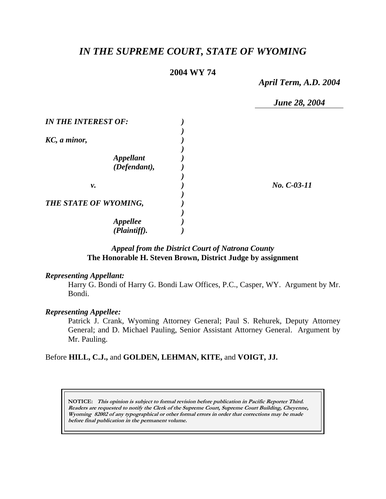# *IN THE SUPREME COURT, STATE OF WYOMING*

# **2004 WY 74**

*April Term, A.D. 2004* 

*June 28, 2004* 

| <b>IN THE INTEREST OF:</b>              |               |
|-----------------------------------------|---------------|
| KC, a minor,                            |               |
| <i><b>Appellant</b></i><br>(Defendant), |               |
| ν.                                      | $No. C-03-11$ |
| THE STATE OF WYOMING,                   |               |
| <b>Appellee</b><br>(Plaintiff).         |               |

# *Appeal from the District Court of Natrona County* **The Honorable H. Steven Brown, District Judge by assignment**

### *Representing Appellant:*

Harry G. Bondi of Harry G. Bondi Law Offices, P.C., Casper, WY. Argument by Mr. Bondi.

### *Representing Appellee:*

Patrick J. Crank, Wyoming Attorney General; Paul S. Rehurek, Deputy Attorney General; and D. Michael Pauling, Senior Assistant Attorney General. Argument by Mr. Pauling.

## Before **HILL, C.J.,** and **GOLDEN, LEHMAN, KITE,** and **VOIGT, JJ.**

**NOTICE: This opinion is subject to formal revision before publication in Pacific Reporter Third. Readers are requested to notify the Clerk of the Supreme Court, Supreme Court Building, Cheyenne, Wyoming 82002 of any typographical or other formal errors in order that corrections may be made before final publication in the permanent volume.**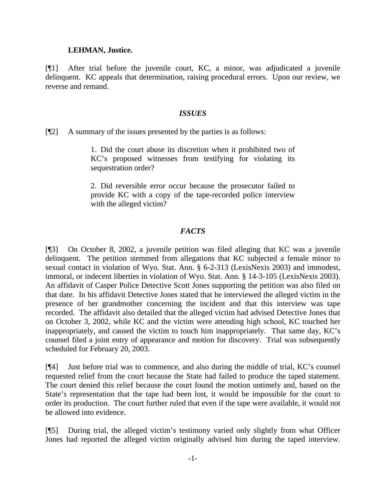### **LEHMAN, Justice.**

[¶1] After trial before the juvenile court, KC, a minor, was adjudicated a juvenile delinquent. KC appeals that determination, raising procedural errors. Upon our review, we reverse and remand.

### *ISSUES*

[¶2] A summary of the issues presented by the parties is as follows:

1. Did the court abuse its discretion when it prohibited two of KC's proposed witnesses from testifying for violating its sequestration order?

2. Did reversible error occur because the prosecutor failed to provide KC with a copy of the tape-recorded police interview with the alleged victim?

### *FACTS*

[¶3] On October 8, 2002, a juvenile petition was filed alleging that KC was a juvenile delinquent. The petition stemmed from allegations that KC subjected a female minor to sexual contact in violation of Wyo. Stat. Ann. § 6-2-313 (LexisNexis 2003) and immodest, immoral, or indecent liberties in violation of Wyo. Stat. Ann. § 14-3-105 (LexisNexis 2003). An affidavit of Casper Police Detective Scott Jones supporting the petition was also filed on that date. In his affidavit Detective Jones stated that he interviewed the alleged victim in the presence of her grandmother concerning the incident and that this interview was tape recorded. The affidavit also detailed that the alleged victim had advised Detective Jones that on October 3, 2002, while KC and the victim were attending high school, KC touched her inappropriately, and caused the victim to touch him inappropriately. That same day, KC's counsel filed a joint entry of appearance and motion for discovery. Trial was subsequently scheduled for February 20, 2003.

[¶4] Just before trial was to commence, and also during the middle of trial, KC's counsel requested relief from the court because the State had failed to produce the taped statement. The court denied this relief because the court found the motion untimely and, based on the State's representation that the tape had been lost, it would be impossible for the court to order its production. The court further ruled that even if the tape were available, it would not be allowed into evidence.

[¶5] During trial, the alleged victim's testimony varied only slightly from what Officer Jones had reported the alleged victim originally advised him during the taped interview.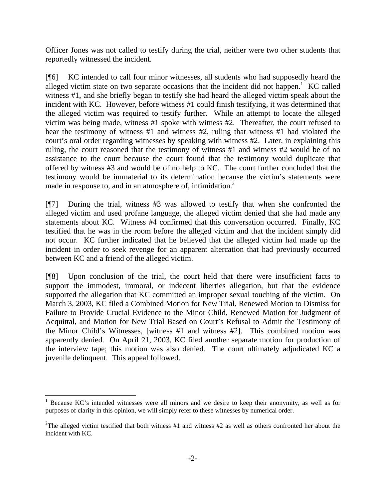Officer Jones was not called to testify during the trial, neither were two other students that reportedly witnessed the incident.

[¶6] KC intended to call four minor witnesses, all students who had supposedly heard the alleged victim state on two separate occasions that the incident did not happen.<sup>1</sup> KC called witness #1, and she briefly began to testify she had heard the alleged victim speak about the incident with KC. However, before witness #1 could finish testifying, it was determined that the alleged victim was required to testify further. While an attempt to locate the alleged victim was being made, witness #1 spoke with witness #2. Thereafter, the court refused to hear the testimony of witness #1 and witness #2, ruling that witness #1 had violated the court's oral order regarding witnesses by speaking with witness #2. Later, in explaining this ruling, the court reasoned that the testimony of witness #1 and witness #2 would be of no assistance to the court because the court found that the testimony would duplicate that offered by witness #3 and would be of no help to KC. The court further concluded that the testimony would be immaterial to its determination because the victim's statements were made in response to, and in an atmosphere of, intimidation.<sup>2</sup>

[¶7] During the trial, witness #3 was allowed to testify that when she confronted the alleged victim and used profane language, the alleged victim denied that she had made any statements about KC. Witness #4 confirmed that this conversation occurred. Finally, KC testified that he was in the room before the alleged victim and that the incident simply did not occur. KC further indicated that he believed that the alleged victim had made up the incident in order to seek revenge for an apparent altercation that had previously occurred between KC and a friend of the alleged victim.

[¶8] Upon conclusion of the trial, the court held that there were insufficient facts to support the immodest, immoral, or indecent liberties allegation, but that the evidence supported the allegation that KC committed an improper sexual touching of the victim. On March 3, 2003, KC filed a Combined Motion for New Trial, Renewed Motion to Dismiss for Failure to Provide Crucial Evidence to the Minor Child, Renewed Motion for Judgment of Acquittal, and Motion for New Trial Based on Court's Refusal to Admit the Testimony of the Minor Child's Witnesses, [witness #1 and witness #2]. This combined motion was apparently denied. On April 21, 2003, KC filed another separate motion for production of the interview tape; this motion was also denied. The court ultimately adjudicated KC a juvenile delinquent. This appeal followed.

 $\overline{a}$ 

<sup>&</sup>lt;sup>1</sup> Because KC's intended witnesses were all minors and we desire to keep their anonymity, as well as for purposes of clarity in this opinion, we will simply refer to these witnesses by numerical order.

<sup>&</sup>lt;sup>2</sup>The alleged victim testified that both witness  $#1$  and witness  $#2$  as well as others confronted her about the incident with KC.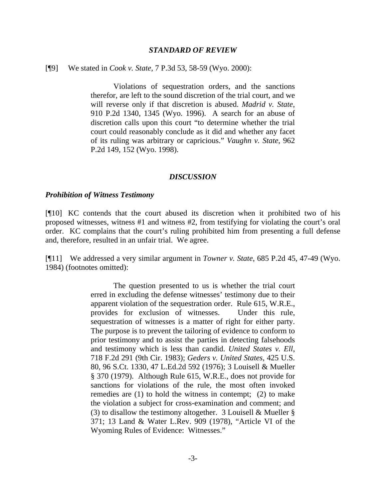#### *STANDARD OF REVIEW*

#### [¶9] We stated in *Cook v. State*, 7 P.3d 53, 58-59 (Wyo. 2000):

 Violations of sequestration orders, and the sanctions therefor, are left to the sound discretion of the trial court, and we will reverse only if that discretion is abused. *Madrid v. State*, 910 P.2d 1340, 1345 (Wyo. 1996). A search for an abuse of discretion calls upon this court "to determine whether the trial court could reasonably conclude as it did and whether any facet of its ruling was arbitrary or capricious." *Vaughn v. State*, 962 P.2d 149, 152 (Wyo. 1998).

#### *DISCUSSION*

#### *Prohibition of Witness Testimony*

[¶10] KC contends that the court abused its discretion when it prohibited two of his proposed witnesses, witness #1 and witness #2, from testifying for violating the court's oral order. KC complains that the court's ruling prohibited him from presenting a full defense and, therefore, resulted in an unfair trial. We agree.

[¶11] We addressed a very similar argument in *Towner v. State*, 685 P.2d 45, 47-49 (Wyo. 1984) (footnotes omitted):

> The question presented to us is whether the trial court erred in excluding the defense witnesses' testimony due to their apparent violation of the sequestration order. Rule 615, W.R.E., provides for exclusion of witnesses. Under this rule, sequestration of witnesses is a matter of right for either party. The purpose is to prevent the tailoring of evidence to conform to prior testimony and to assist the parties in detecting falsehoods and testimony which is less than candid. *United States v. Ell*, 718 F.2d 291 (9th Cir. 1983); *Geders v. United States*, 425 U.S. 80, 96 S.Ct. 1330, 47 L.Ed.2d 592 (1976); 3 Louisell & Mueller § 370 (1979). Although Rule 615, W.R.E., does not provide for sanctions for violations of the rule, the most often invoked remedies are (1) to hold the witness in contempt; (2) to make the violation a subject for cross-examination and comment; and (3) to disallow the testimony altogether. 3 Louisell & Mueller § 371; 13 Land & Water L.Rev. 909 (1978), "Article VI of the Wyoming Rules of Evidence: Witnesses."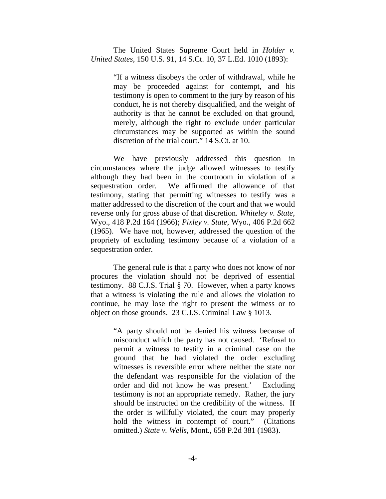The United States Supreme Court held in *Holder v. United States*, 150 U.S. 91, 14 S.Ct. 10, 37 L.Ed. 1010 (1893):

> "If a witness disobeys the order of withdrawal, while he may be proceeded against for contempt, and his testimony is open to comment to the jury by reason of his conduct, he is not thereby disqualified, and the weight of authority is that he cannot be excluded on that ground, merely, although the right to exclude under particular circumstances may be supported as within the sound discretion of the trial court." 14 S.Ct. at 10.

 We have previously addressed this question in circumstances where the judge allowed witnesses to testify although they had been in the courtroom in violation of a sequestration order. We affirmed the allowance of that testimony, stating that permitting witnesses to testify was a matter addressed to the discretion of the court and that we would reverse only for gross abuse of that discretion. *Whiteley v. State*, Wyo., 418 P.2d 164 (1966); *Pixley v. State*, Wyo., 406 P.2d 662 (1965). We have not, however, addressed the question of the propriety of excluding testimony because of a violation of a sequestration order.

 The general rule is that a party who does not know of nor procures the violation should not be deprived of essential testimony. 88 C.J.S. Trial § 70. However, when a party knows that a witness is violating the rule and allows the violation to continue, he may lose the right to present the witness or to object on those grounds. 23 C.J.S. Criminal Law § 1013.

> "A party should not be denied his witness because of misconduct which the party has not caused. 'Refusal to permit a witness to testify in a criminal case on the ground that he had violated the order excluding witnesses is reversible error where neither the state nor the defendant was responsible for the violation of the order and did not know he was present.' Excluding testimony is not an appropriate remedy. Rather, the jury should be instructed on the credibility of the witness. If the order is willfully violated, the court may properly hold the witness in contempt of court." (Citations omitted.) *State v. Wells*, Mont., 658 P.2d 381 (1983).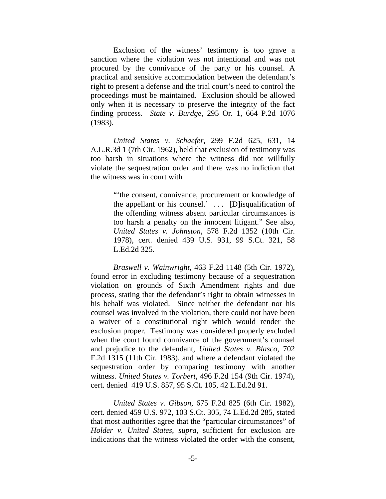Exclusion of the witness' testimony is too grave a sanction where the violation was not intentional and was not procured by the connivance of the party or his counsel. A practical and sensitive accommodation between the defendant's right to present a defense and the trial court's need to control the proceedings must be maintained. Exclusion should be allowed only when it is necessary to preserve the integrity of the fact finding process. *State v. Burdge*, 295 Or. 1, 664 P.2d 1076 (1983).

 *United States v. Schaefer*, 299 F.2d 625, 631, 14 A.L.R.3d 1 (7th Cir. 1962), held that exclusion of testimony was too harsh in situations where the witness did not willfully violate the sequestration order and there was no indiction that the witness was in court with

> "'the consent, connivance, procurement or knowledge of the appellant or his counsel.'  $\ldots$  [D] is qualification of the offending witness absent particular circumstances is too harsh a penalty on the innocent litigant." See also, *United States v. Johnston*, 578 F.2d 1352 (10th Cir. 1978), cert. denied 439 U.S. 931, 99 S.Ct. 321, 58 L.Ed.2d 325.

 *Braswell v. Wainwright*, 463 F.2d 1148 (5th Cir. 1972), found error in excluding testimony because of a sequestration violation on grounds of Sixth Amendment rights and due process, stating that the defendant's right to obtain witnesses in his behalf was violated. Since neither the defendant nor his counsel was involved in the violation, there could not have been a waiver of a constitutional right which would render the exclusion proper. Testimony was considered properly excluded when the court found connivance of the government's counsel and prejudice to the defendant, *United States v. Blasco*, 702 F.2d 1315 (11th Cir. 1983), and where a defendant violated the sequestration order by comparing testimony with another witness. *United States v. Torbert*, 496 F.2d 154 (9th Cir. 1974), cert. denied 419 U.S. 857, 95 S.Ct. 105, 42 L.Ed.2d 91.

 *United States v. Gibson*, 675 F.2d 825 (6th Cir. 1982), cert. denied 459 U.S. 972, 103 S.Ct. 305, 74 L.Ed.2d 285, stated that most authorities agree that the "particular circumstances" of *Holder v. United States*, *supra*, sufficient for exclusion are indications that the witness violated the order with the consent,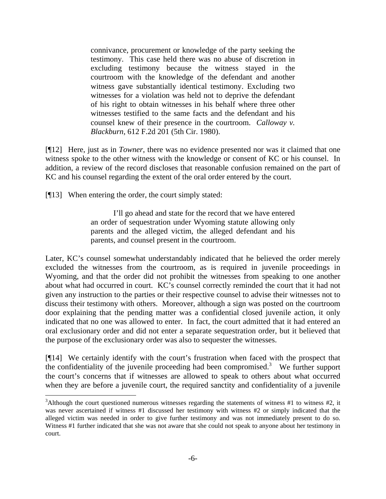connivance, procurement or knowledge of the party seeking the testimony. This case held there was no abuse of discretion in excluding testimony because the witness stayed in the courtroom with the knowledge of the defendant and another witness gave substantially identical testimony. Excluding two witnesses for a violation was held not to deprive the defendant of his right to obtain witnesses in his behalf where three other witnesses testified to the same facts and the defendant and his counsel knew of their presence in the courtroom. *Calloway v. Blackburn*, 612 F.2d 201 (5th Cir. 1980).

[¶12] Here, just as in *Towner*, there was no evidence presented nor was it claimed that one witness spoke to the other witness with the knowledge or consent of KC or his counsel. In addition, a review of the record discloses that reasonable confusion remained on the part of KC and his counsel regarding the extent of the oral order entered by the court.

[¶13] When entering the order, the court simply stated:

 I'll go ahead and state for the record that we have entered an order of sequestration under Wyoming statute allowing only parents and the alleged victim, the alleged defendant and his parents, and counsel present in the courtroom.

Later, KC's counsel somewhat understandably indicated that he believed the order merely excluded the witnesses from the courtroom, as is required in juvenile proceedings in Wyoming, and that the order did not prohibit the witnesses from speaking to one another about what had occurred in court. KC's counsel correctly reminded the court that it had not given any instruction to the parties or their respective counsel to advise their witnesses not to discuss their testimony with others. Moreover, although a sign was posted on the courtroom door explaining that the pending matter was a confidential closed juvenile action, it only indicated that no one was allowed to enter. In fact, the court admitted that it had entered an oral exclusionary order and did not enter a separate sequestration order, but it believed that the purpose of the exclusionary order was also to sequester the witnesses.

[¶14] We certainly identify with the court's frustration when faced with the prospect that the confidentiality of the juvenile proceeding had been compromised.<sup>3</sup> We further support the court's concerns that if witnesses are allowed to speak to others about what occurred when they are before a juvenile court, the required sanctity and confidentiality of a juvenile

<sup>&</sup>lt;sup>3</sup>Although the court questioned numerous witnesses regarding the statements of witness #1 to witness #2, it was never ascertained if witness #1 discussed her testimony with witness #2 or simply indicated that the alleged victim was needed in order to give further testimony and was not immediately present to do so. Witness #1 further indicated that she was not aware that she could not speak to anyone about her testimony in court.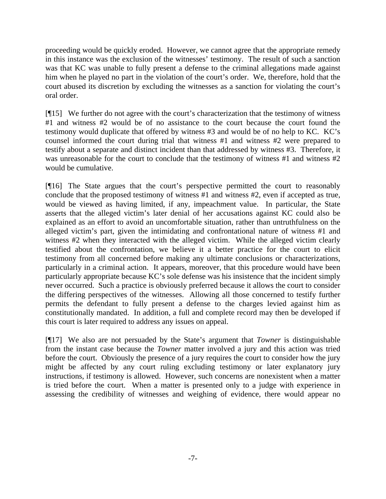proceeding would be quickly eroded. However, we cannot agree that the appropriate remedy in this instance was the exclusion of the witnesses' testimony. The result of such a sanction was that KC was unable to fully present a defense to the criminal allegations made against him when he played no part in the violation of the court's order. We, therefore, hold that the court abused its discretion by excluding the witnesses as a sanction for violating the court's oral order.

[¶15] We further do not agree with the court's characterization that the testimony of witness #1 and witness #2 would be of no assistance to the court because the court found the testimony would duplicate that offered by witness #3 and would be of no help to KC. KC's counsel informed the court during trial that witness #1 and witness #2 were prepared to testify about a separate and distinct incident than that addressed by witness #3. Therefore, it was unreasonable for the court to conclude that the testimony of witness #1 and witness #2 would be cumulative.

[¶16] The State argues that the court's perspective permitted the court to reasonably conclude that the proposed testimony of witness #1 and witness #2, even if accepted as true, would be viewed as having limited, if any, impeachment value. In particular, the State asserts that the alleged victim's later denial of her accusations against KC could also be explained as an effort to avoid an uncomfortable situation, rather than untruthfulness on the alleged victim's part, given the intimidating and confrontational nature of witness #1 and witness #2 when they interacted with the alleged victim. While the alleged victim clearly testified about the confrontation, we believe it a better practice for the court to elicit testimony from all concerned before making any ultimate conclusions or characterizations, particularly in a criminal action. It appears, moreover, that this procedure would have been particularly appropriate because KC's sole defense was his insistence that the incident simply never occurred. Such a practice is obviously preferred because it allows the court to consider the differing perspectives of the witnesses. Allowing all those concerned to testify further permits the defendant to fully present a defense to the charges levied against him as constitutionally mandated. In addition, a full and complete record may then be developed if this court is later required to address any issues on appeal.

[¶17] We also are not persuaded by the State's argument that *Towner* is distinguishable from the instant case because the *Towner* matter involved a jury and this action was tried before the court. Obviously the presence of a jury requires the court to consider how the jury might be affected by any court ruling excluding testimony or later explanatory jury instructions, if testimony is allowed. However, such concerns are nonexistent when a matter is tried before the court. When a matter is presented only to a judge with experience in assessing the credibility of witnesses and weighing of evidence, there would appear no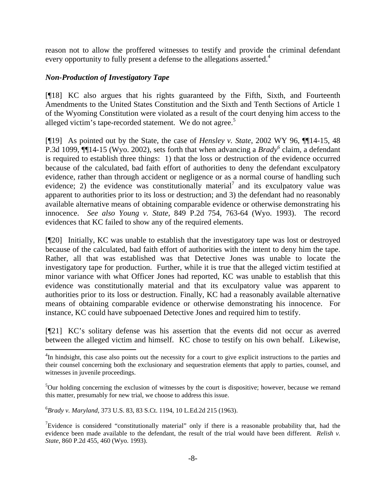reason not to allow the proffered witnesses to testify and provide the criminal defendant every opportunity to fully present a defense to the allegations asserted.<sup>4</sup>

# *Non-Production of Investigatory Tape*

[¶18] KC also argues that his rights guaranteed by the Fifth, Sixth, and Fourteenth Amendments to the United States Constitution and the Sixth and Tenth Sections of Article 1 of the Wyoming Constitution were violated as a result of the court denying him access to the alleged victim's tape-recorded statement. We do not agree.<sup>5</sup>

[¶19] As pointed out by the State, the case of *Hensley v. State*, 2002 WY 96, ¶¶14-15, 48 P.3d 1099, ¶¶14-15 (Wyo. 2002), sets forth that when advancing a *Brady<sup>6</sup>* claim, a defendant is required to establish three things: 1) that the loss or destruction of the evidence occurred because of the calculated, bad faith effort of authorities to deny the defendant exculpatory evidence, rather than through accident or negligence or as a normal course of handling such evidence; 2) the evidence was constitutionally material<sup>7</sup> and its exculpatory value was apparent to authorities prior to its loss or destruction; and 3) the defendant had no reasonably available alternative means of obtaining comparable evidence or otherwise demonstrating his innocence. *See also Young v. State*, 849 P.2d 754, 763-64 (Wyo. 1993). The record evidences that KC failed to show any of the required elements.

[¶20] Initially, KC was unable to establish that the investigatory tape was lost or destroyed because of the calculated, bad faith effort of authorities with the intent to deny him the tape. Rather, all that was established was that Detective Jones was unable to locate the investigatory tape for production. Further, while it is true that the alleged victim testified at minor variance with what Officer Jones had reported, KC was unable to establish that this evidence was constitutionally material and that its exculpatory value was apparent to authorities prior to its loss or destruction. Finally, KC had a reasonably available alternative means of obtaining comparable evidence or otherwise demonstrating his innocence. For instance, KC could have subpoenaed Detective Jones and required him to testify.

[¶21] KC's solitary defense was his assertion that the events did not occur as averred between the alleged victim and himself. KC chose to testify on his own behalf. Likewise,

6 *Brady v. Maryland*, 373 U.S. 83, 83 S.Ct. 1194, 10 L.Ed.2d 215 (1963).

 $\overline{a}$ 

<sup>&</sup>lt;sup>4</sup>In hindsight, this case also points out the necessity for a court to give explicit instructions to the parties and their counsel concerning both the exclusionary and sequestration elements that apply to parties, counsel, and witnesses in juvenile proceedings.

<sup>&</sup>lt;sup>5</sup>Our holding concerning the exclusion of witnesses by the court is dispositive; however, because we remand this matter, presumably for new trial, we choose to address this issue.

<sup>&</sup>lt;sup>7</sup>Evidence is considered "constitutionally material" only if there is a reasonable probability that, had the evidence been made available to the defendant, the result of the trial would have been different. *Relish v. State*, 860 P.2d 455, 460 (Wyo. 1993).